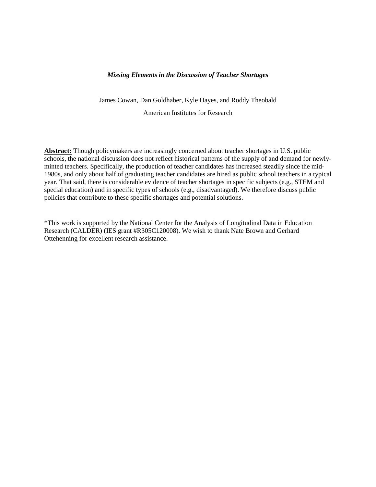### *Missing Elements in the Discussion of Teacher Shortages*

James Cowan, Dan Goldhaber, Kyle Hayes, and Roddy Theobald

American Institutes for Research

**Abstract:** Though policymakers are increasingly concerned about teacher shortages in U.S. public schools, the national discussion does not reflect historical patterns of the supply of and demand for newlyminted teachers. Specifically, the production of teacher candidates has increased steadily since the mid-1980s, and only about half of graduating teacher candidates are hired as public school teachers in a typical year. That said, there is considerable evidence of teacher shortages in specific subjects (e.g., STEM and special education) and in specific types of schools (e.g., disadvantaged). We therefore discuss public policies that contribute to these specific shortages and potential solutions.

\*This work is supported by the National Center for the Analysis of Longitudinal Data in Education Research (CALDER) (IES grant #R305C120008). We wish to thank Nate Brown and Gerhard Ottehenning for excellent research assistance.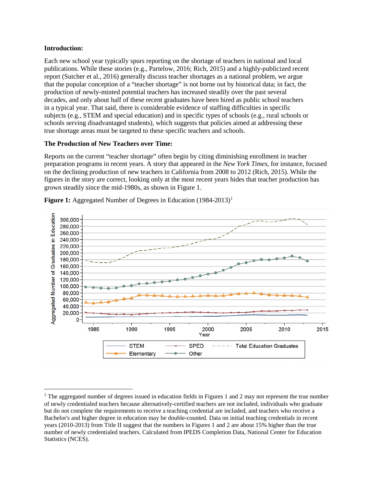## **Introduction:**

l

Each new school year typically spurs reporting on the shortage of teachers in national and local publications. While these stories (e.g., Partelow, 2016; Rich, 2015) and a highly-publicized recent report (Sutcher et al., 2016) generally discuss teacher shortages as a national problem, we argue that the popular conception of a "teacher shortage" is not borne out by historical data; in fact, the production of newly-minted potential teachers has increased steadily over the past several decades, and only about half of these recent graduates have been hired as public school teachers in a typical year. That said, there is considerable evidence of staffing difficulties in specific subjects (e.g., STEM and special education) and in specific types of schools (e.g., rural schools or schools serving disadvantaged students), which suggests that policies aimed at addressing these true shortage areas must be targeted to these specific teachers and schools.

# **The Production of New Teachers over Time:**

Reports on the current "teacher shortage" often begin by citing diminishing enrollment in teacher preparation programs in recent years. A story that appeared in the *New York Times*, for instance, focused on the declining production of new teachers in California from 2008 to 2012 (Rich, 2015). While the figures in the story are correct, looking only at the most recent years hides that teacher production has grown steadily since the mid-1980s, as shown in Figure 1.



**Figure [1](#page-1-0):** Aggregated Number of Degrees in Education (1984-2013)<sup>1</sup>

<span id="page-1-0"></span><sup>&</sup>lt;sup>1</sup> The aggregated number of degrees issued in education fields in Figures 1 and 2 may not represent the true number of newly credentialed teachers because alternatively-certified teachers are not included, individuals who graduate but do not complete the requirements to receive a teaching credential are included, and teachers who receive a Bachelor's and higher degree in education may be double-counted. Data on initial teaching credentials in recent years (2010-2013) from Title II suggest that the numbers in Figures 1 and 2 are about 15% higher than the true number of newly credentialed teachers. Calculated from IPEDS Completion Data, National Center for Education Statistics (NCES).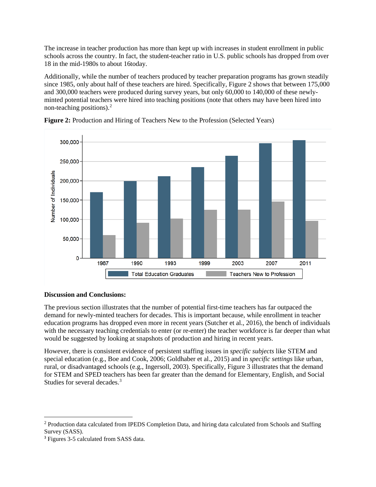The increase in teacher production has more than kept up with increases in student enrollment in public schools across the country. In fact, the student-teacher ratio in U.S. public schools has dropped from over 18 in the mid-1980s to about 16today.

Additionally, while the number of teachers produced by teacher preparation programs has grown steadily since 1985, only about half of these teachers are hired. Specifically, Figure 2 shows that between 175,000 and 300,000 teachers were produced during survey years, but only 60,000 to 140,000 of these newlyminted potential teachers were hired into teaching positions (note that others may have been hired into non-teaching positions). [2](#page-2-0)





# **Discussion and Conclusions:**

The previous section illustrates that the number of potential first-time teachers has far outpaced the demand for newly-minted teachers for decades. This is important because, while enrollment in teacher education programs has dropped even more in recent years (Sutcher et al., 2016), the bench of individuals with the necessary teaching credentials to enter (or re-enter) the teacher workforce is far deeper than what would be suggested by looking at snapshots of production and hiring in recent years.

However, there is consistent evidence of persistent staffing issues in *specific subjects* like STEM and special education (e.g., Boe and Cook, 2006; Goldhaber et al., 2015) and in *specific settings* like urban, rural, or disadvantaged schools (e.g., Ingersoll, 2003). Specifically, Figure 3 illustrates that the demand for STEM and SPED teachers has been far greater than the demand for Elementary, English, and Social Studies for several decades.<sup>[3](#page-2-1)</sup>

 $\overline{\phantom{a}}$ 

<span id="page-2-0"></span><sup>&</sup>lt;sup>2</sup> Production data calculated from IPEDS Completion Data, and hiring data calculated from Schools and Staffing Survey (SASS).

<span id="page-2-1"></span><sup>&</sup>lt;sup>3</sup> Figures 3-5 calculated from SASS data.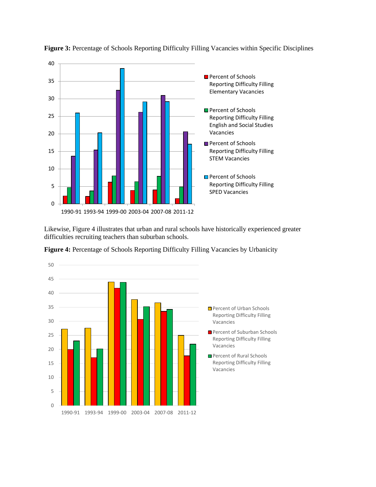

**Figure 3:** Percentage of Schools Reporting Difficulty Filling Vacancies within Specific Disciplines

Likewise, Figure 4 illustrates that urban and rural schools have historically experienced greater difficulties recruiting teachers than suburban schools.



Figure 4: Percentage of Schools Reporting Difficulty Filling Vacancies by Urbanicity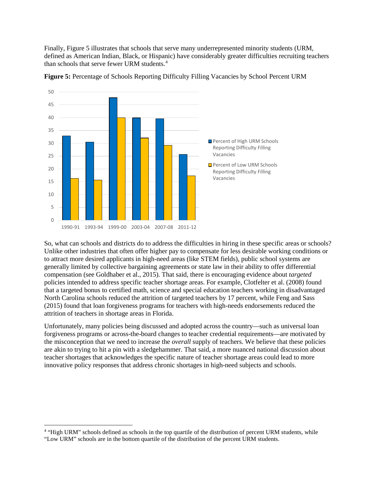Finally, Figure 5 illustrates that schools that serve many underrepresented minority students (URM, defined as American Indian, Black, or Hispanic) have considerably greater difficulties recruiting teachers than schools that serve fewer URM students.[4](#page-4-0)



**Figure 5:** Percentage of Schools Reporting Difficulty Filling Vacancies by School Percent URM

So, what can schools and districts do to address the difficulties in hiring in these specific areas or schools? Unlike other industries that often offer higher pay to compensate for less desirable working conditions or to attract more desired applicants in high-need areas (like STEM fields), public school systems are generally limited by collective bargaining agreements or state law in their ability to offer differential compensation (see Goldhaber et al., 2015). That said, there is encouraging evidence about *targeted*  policies intended to address specific teacher shortage areas. For example, Clotfelter et al. (2008) found that a targeted bonus to certified math, science and special education teachers working in disadvantaged North Carolina schools reduced the attrition of targeted teachers by 17 percent, while Feng and Sass (2015) found that loan forgiveness programs for teachers with high-needs endorsements reduced the attrition of teachers in shortage areas in Florida.

Unfortunately, many policies being discussed and adopted across the country—such as universal loan forgiveness programs or across-the-board changes to teacher credential requirements—are motivated by the misconception that we need to increase the *overall* supply of teachers. We believe that these policies are akin to trying to hit a pin with a sledgehammer. That said, a more nuanced national discussion about teacher shortages that acknowledges the specific nature of teacher shortage areas could lead to more innovative policy responses that address chronic shortages in high-need subjects and schools.

l

<span id="page-4-0"></span><sup>&</sup>lt;sup>4</sup> "High URM" schools defined as schools in the top quartile of the distribution of percent URM students, while "Low URM" schools are in the bottom quartile of the distribution of the percent URM students.